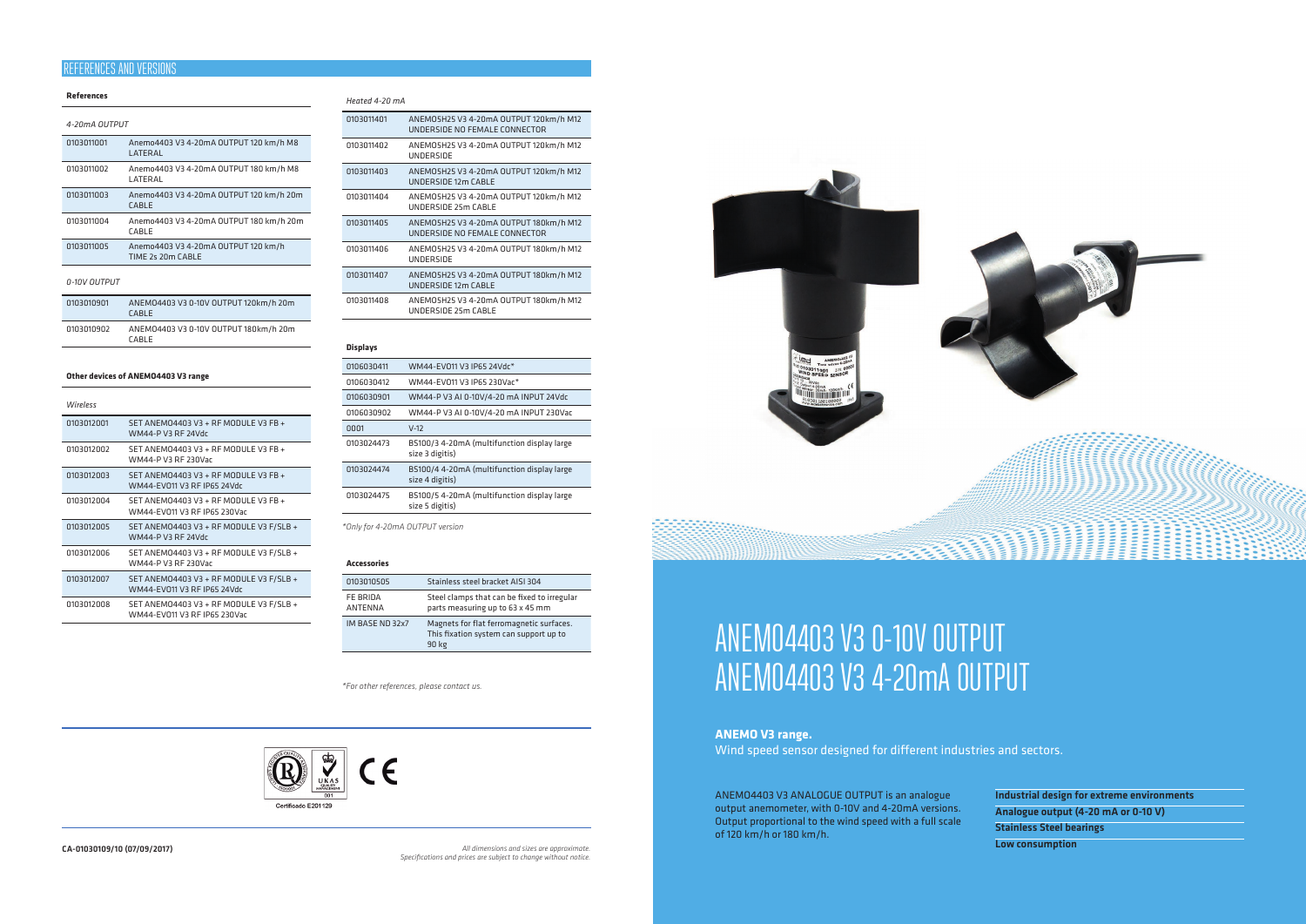## **References**

| 4-20mA OUTPUT |                                                          |
|---------------|----------------------------------------------------------|
| 0103011001    | Anemo4403 V3 4-20mA OUTPUT 120 km/h M8<br>I ATFRAI       |
| 0103011002    | Anemo4403 V3 4-20mA OUTPUT 180 km/h M8<br>LATERAL        |
| 0103011003    | Anemo4403 V3 4-20mA OUTPUT 120 km/h 20m<br>CABLE         |
| 0103011004    | Anemo4403 V3 4-20mA OUTPUT 180 km/h 20m<br>CABLE         |
| 0103011005    | Anemo4403 V3 4-20mA OUTPUT 120 km/h<br>TIME 2s 20m CABLE |
| 0-10V OUTPUT  |                                                          |

| 0103010901 | ANEM04403 V3 0-10V OUTPUT 120km/h 20m<br><b>CABLE</b> |
|------------|-------------------------------------------------------|
| 0103010902 | ANEM04403 V3 0-10V OUTPUT 180km/h 20m<br><b>CARLE</b> |

## **Other devices of ANEMO4403 V3 range**

| <b>Wireless</b> |                                                                         |
|-----------------|-------------------------------------------------------------------------|
| 0103012001      | SET ANEMO4403 V3 + RF MODULE V3 FB +<br>WM44-P V3 RF 24Vdr              |
| 0103012002      | SET ANEMO4403 V3 + RF MODULE V3 FB +<br>WM44-P V3 RF 230Var             |
| 0103012003      | SET ANEMO4403 V3 + RF MODULE V3 FB +<br>WM44-FV011 V3 RF IP65 24Vdc     |
| 0103012004      | SET ANEMO4403 V3 + RF MODULE V3 FB +<br>WM44-EV011 V3 RF IP65 230Vac    |
| 0103012005      | SET ANEMO4403 V3 + RF MODULE V3 F/SLB +<br>WM44-P V3 RF 24Vdr           |
| 0103012006      | SET ANEMO4403 V3 + RF MODULE V3 F/SLB +<br>WM44-P V3 RF 230Var          |
| 0103012007      | SET ANEMO4403 V3 + RF MODULE V3 F/SLB +<br>WM44-EV011 V3 RF IP65 24Vdc  |
| 0103012008      | SET ANEMO4403 V3 + RF MODULE V3 F/SLB +<br>WM44-EV011 V3 RF IP65 230Vac |
|                 |                                                                         |

## *Heated 4-20 mA*

| 0103011401 | ANEMO5H25 V3 4-20mA OUTPUT 120km/h M12<br>UNDERSIDE NO FEMALE CONNECTOR |
|------------|-------------------------------------------------------------------------|
| 0103011402 | ANEMO5H25 V3 4-20mA OUTPUT 120km/h M12<br>UNDERSIDE                     |
| 0103011403 | ANEMO5H25 V3 4-20mA OUTPUT 120km/h M12<br>UNDERSIDE 12m CABLE           |
| 0103011404 | ANEMO5H25 V3 4-20mA OUTPUT 120km/h M12<br>UNDERSIDE 25m CABLE           |
| 0103011405 | ANEMO5H25 V3 4-20mA OUTPUT 180km/h M12<br>UNDERSIDE NO FEMALE CONNECTOR |
| 0103011406 | ANEMO5H25 V3 4-20mA OUTPUT 180km/h M12<br><b>UNDERSIDE</b>              |
| 0103011407 | ANEMO5H25 V3 4-20mA OUTPUT 180km/h M12<br>UNDERSIDE 12m CABLE           |
| 0103011408 | ANEMO5H25 V3 4-20mA OUTPUT 180km/h M12<br>UNDERSIDE 25m CABLE           |

## **Displays**

| 0106030411 | WM44-FV011 V3 IP65 24Vdc*                                      |
|------------|----------------------------------------------------------------|
| 0106030412 | WM44-FV011 V3 IP65 230Var*                                     |
| 0106030901 | WM44-P V3 AI 0-10V/4-20 mA INPUT 24Vdc                         |
| 0106030902 | WM44-P V3 AI 0-10V/4-20 mA INPUT 230Vac                        |
| 0001       | $V-12$                                                         |
| 0103024473 | BS100/3 4-20mA (multifunction display large<br>size 3 digitis) |
| 0103024474 | BS100/4 4-20mA (multifunction display large<br>size 4 digitis) |
| 0103024475 | BS100/5 4-20mA (multifunction display large<br>size 5 digitis) |

*\*Only for 4-20mA OUTPUT version*

#### **Accessories**

| 0103010505                 | Stainless steel bracket AISI 304                                                            |
|----------------------------|---------------------------------------------------------------------------------------------|
| FE BRIDA<br><b>ANTENNA</b> | Steel clamps that can be fixed to irregular<br>parts measuring up to 63 x 45 mm             |
| IM BASE ND 32x7            | Magnets for flat ferromagnetic surfaces.<br>This fixation system can support up to<br>90 kg |

ANEMO4403 V3 ANALOGUE OUTPUT is an analogue output anemometer, with 0-10V and 4-20mA versions. Output proportional to the wind speed with a full scale of 120 km/h or 180 km/h.





Industrial design for extreme environments Analogue output (4-20 mA or 0-10 V) Stainless Steel bearings Low consumption

# ANEMO4403 V3 0-10V OUTPUT ANEMO4403 V3 4-20mA OUTPUT

# **ANEMO V3 range.**

Wind speed sensor designed for different industries and sectors.

CA-01030109/10 (07/09/2017) *All dimensions and sizes are approximate. Specifications and prices are subject to change without notice.*

| <b>ELECT THE READ OF STRANGE AND READ OF STRANGE AND READ SEASON CONTINUES.</b> |  |
|---------------------------------------------------------------------------------|--|
| little.<br>inut                                                                 |  |

# REFERENCES AND VERSIONS

*\*For other references, please contact us.*